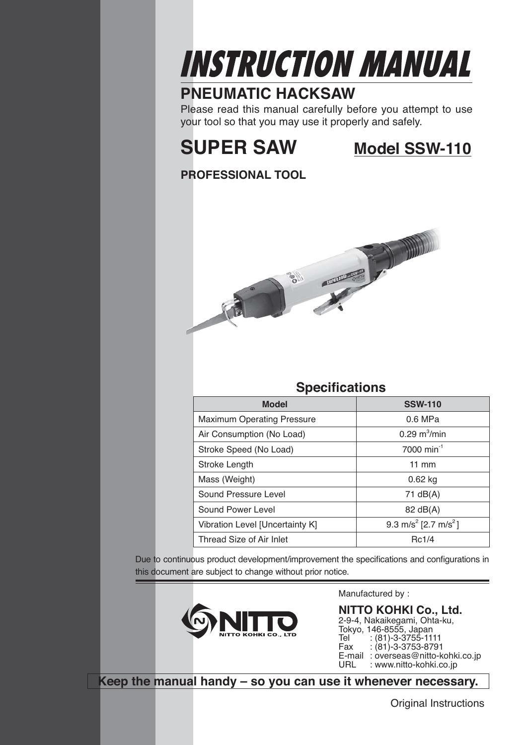# **INSTRUCTION MANUAL**

### **PNEUMATIC HACKSAW**

Please read this manual carefully before you attempt to use your tool so that you may use it properly and safely.

# **SUPER SAW Model SSW-110**

#### **PROFESSIONAL TOOL**



#### **Specifications**

| <b>Model</b>                      | <b>SSW-110</b>                               |  |
|-----------------------------------|----------------------------------------------|--|
| <b>Maximum Operating Pressure</b> | $0.6$ MPa                                    |  |
| Air Consumption (No Load)         | $0.29 \text{ m}^3/\text{min}$                |  |
| Stroke Speed (No Load)            | 7000 min <sup>-1</sup>                       |  |
| Stroke Length                     | $11 \text{ mm}$                              |  |
| Mass (Weight)                     | $0.62$ kg                                    |  |
| Sound Pressure Level              | 71 $dB(A)$                                   |  |
| Sound Power Level                 | 82 dB(A)                                     |  |
| Vibration Level [Uncertainty K]   | 9.3 m/s <sup>2</sup> [2.7 m/s <sup>2</sup> ] |  |
| Thread Size of Air Inlet          | Rc1/4                                        |  |

Due to continuous product development/improvement the specifications and configurations in this document are subject to change without prior notice.



Manufactured by :

**NITTO KOHKI Co., Ltd.** 2-9-4, Nakaikegami, Ohta-ku, Tokyo, 146-8555, Japan Tel : (81)-3-3755-1111<br>Fax : (81)-3-3753-879 Fax : (81)-3-3753-8791 E-mail: overseas@nitto-kohki.co.jp<br>URL: : www.nitto-kohki.co.jp : www.nitto-kohki.co.jp

**Keep the manual handy – so you can use it whenever necessary.**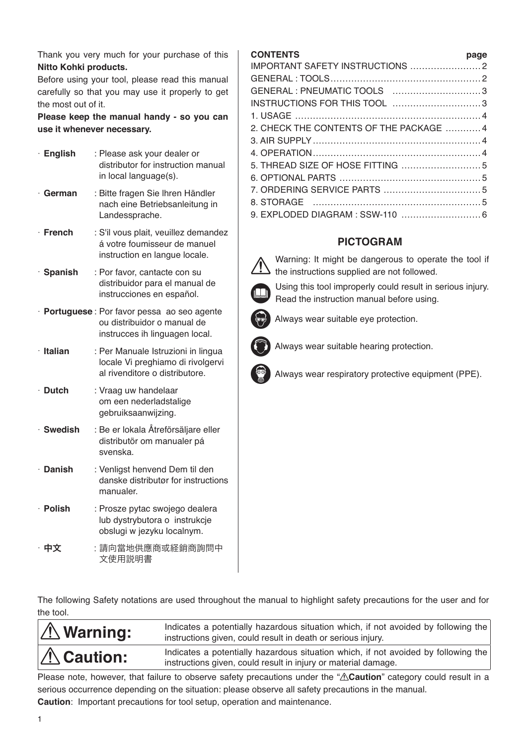Thank you very much for your purchase of this **Nitto Kohki products.** 

Before using your tool, please read this manual carefully so that you may use it properly to get the most out of it.

**Please keep the manual handy - so you can use it whenever necessary.**

| · English      | : Please ask your dealer or<br>distributor for instruction manual<br>in local language(s).                   |
|----------------|--------------------------------------------------------------------------------------------------------------|
| $\cdot$ German | : Bitte fragen Sie Ihren Händler<br>nach eine Betriebsanleitung in<br>Landessprache.                         |
| · French       | : S'il vous plait, veuillez demandez<br>á votre foumisseur de manuel<br>instruction en langue locale.        |
| · Spanish      | : Por favor, cantacte con su<br>distribuidor para el manual de<br>instrucciones en español.                  |
|                | · Portuguese: Por favor pessa ao seo agente<br>ou distribuidor o manual de<br>instrucces ih linguagen local. |
| · Italian      | : Per Manuale Istruzioni in lingua<br>locale Vi preghiamo di rivolgervi<br>al rivenditore o distributore.    |
| $\cdot$ Dutch  | : Vraag uw handelaar<br>om een nederladstalige<br>gebruiksaanwijzing.                                        |
| · Swedish      | : Be er lokala Åtreförsäljare eller<br>distributör om manualer pá<br>svenska.                                |
| · Danish       | : Venligst henvend Dem til den<br>danske distributør for instructions<br>manualer.                           |
| · Polish       | : Prosze pytac swojego dealera<br>lub dystrybutora o instrukcje<br>obslugi w jezyku localnym.                |
| · 中文           | :請向當地供應商或経銷商詢問中<br>文使用説明書                                                                                    |

#### **CONTENTS page**

| GENERAL : PNEUMATIC TOOLS 3             |  |
|-----------------------------------------|--|
| INSTRUCTIONS FOR THIS TOOL 3            |  |
|                                         |  |
| 2. CHECK THE CONTENTS OF THE PACKAGE  4 |  |
|                                         |  |
|                                         |  |
|                                         |  |
|                                         |  |
|                                         |  |
|                                         |  |
| 9. EXPLODED DIAGRAM : SSW-110  6        |  |

#### **PICTOGRAM**



 Warning: It might be dangerous to operate the tool if  $\sum$  the instructions supplied are not followed.



Read the instruction manual before using. Always wear suitable eye protection.



Always wear suitable hearing protection.



Always wear respiratory protective equipment (PPE).

The following Safety notations are used throughout the manual to highlight safety precautions for the user and for the tool.

|                                                                                                                                                                            | Indicates a potentially hazardous situation which, if not avoided by following the<br>instructions given, could result in death or serious injury. |
|----------------------------------------------------------------------------------------------------------------------------------------------------------------------------|----------------------------------------------------------------------------------------------------------------------------------------------------|
| Indicates a potentially hazardous situation which, if not avoided by following the<br>$\hat{A}$ Caution:<br>instructions given, could result in injury or material damage. |                                                                                                                                                    |

Please note, however, that failure to observe safety precautions under the " $\triangle$ Caution" category could result in a serious occurrence depending on the situation: please observe all safety precautions in the manual. **Caution**: Important precautions for tool setup, operation and maintenance.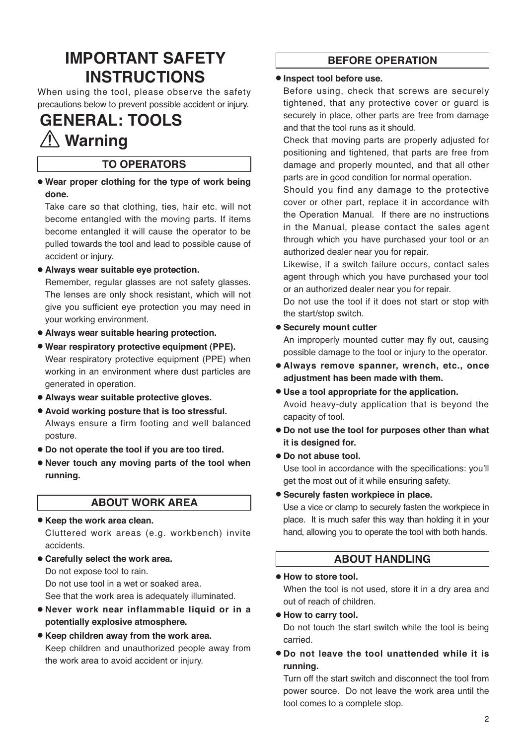### **IMPORTANT SAFETY INSTRUCTIONS**

When using the tool, please observe the safety precautions below to prevent possible accident or injury.

### **GENERAL: TOOLS Warning**

#### **TO OPERATORS**

● **Wear proper clothing for the type of work being done.**

Take care so that clothing, ties, hair etc. will not become entangled with the moving parts. If items become entangled it will cause the operator to be pulled towards the tool and lead to possible cause of accident or injury.

● **Always wear suitable eye protection.** 

Remember, regular glasses are not safety glasses. The lenses are only shock resistant, which will not give you sufficient eye protection you may need in your working environment.

- ● **Always wear suitable hearing protection.**
- ● **Wear respiratory protective equipment (PPE).**  Wear respiratory protective equipment (PPE) when working in an environment where dust particles are generated in operation.
- ● **Always wear suitable protective gloves.**
- ● **Avoid working posture that is too stressful.**  Always ensure a firm footing and well balanced posture.
- ● **Do not operate the tool if you are too tired.**
- ● **Never touch any moving parts of the tool when running.**

#### **ABOUT WORK AREA**

#### ● **Keep the work area clean.**

Cluttered work areas (e.g. workbench) invite accidents.

● **Carefully select the work area.** Do not expose tool to rain. Do not use tool in a wet or soaked area.

See that the work area is adequately illuminated.

- ● **Never work near inflammable liquid or in a potentially explosive atmosphere.**
- ● **Keep children away from the work area.** Keep children and unauthorized people away from the work area to avoid accident or injury.

#### **BEFORE OPERATION**

#### ● **Inspect tool before use.**

Before using, check that screws are securely tightened, that any protective cover or guard is securely in place, other parts are free from damage and that the tool runs as it should.

Check that moving parts are properly adjusted for positioning and tightened, that parts are free from damage and properly mounted, and that all other parts are in good condition for normal operation.

Should you find any damage to the protective cover or other part, replace it in accordance with the Operation Manual. If there are no instructions in the Manual, please contact the sales agent through which you have purchased your tool or an authorized dealer near you for repair.

Likewise, if a switch failure occurs, contact sales agent through which you have purchased your tool or an authorized dealer near you for repair.

Do not use the tool if it does not start or stop with the start/stop switch.

#### ● **Securely mount cutter**

An improperly mounted cutter may fly out, causing possible damage to the tool or injury to the operator.

- ● **Always remove spanner, wrench, etc., once adjustment has been made with them.**
- ● **Use a tool appropriate for the application.** Avoid heavy-duty application that is beyond the capacity of tool.
- ● **Do not use the tool for purposes other than what it is designed for.**
- Do not abuse tool.

Use tool in accordance with the specifications: you'll get the most out of it while ensuring safety.

#### ● **Securely fasten workpiece in place.**

Use a vice or clamp to securely fasten the workpiece in place. It is much safer this way than holding it in your hand, allowing you to operate the tool with both hands.

#### **ABOUT HANDLING**

#### ● **How to store tool.**

When the tool is not used, store it in a dry area and out of reach of children.

#### ● **How to carry tool.**

Do not touch the start switch while the tool is being carried.

● **Do not leave the tool unattended while it is running.**

Turn off the start switch and disconnect the tool from power source. Do not leave the work area until the tool comes to a complete stop.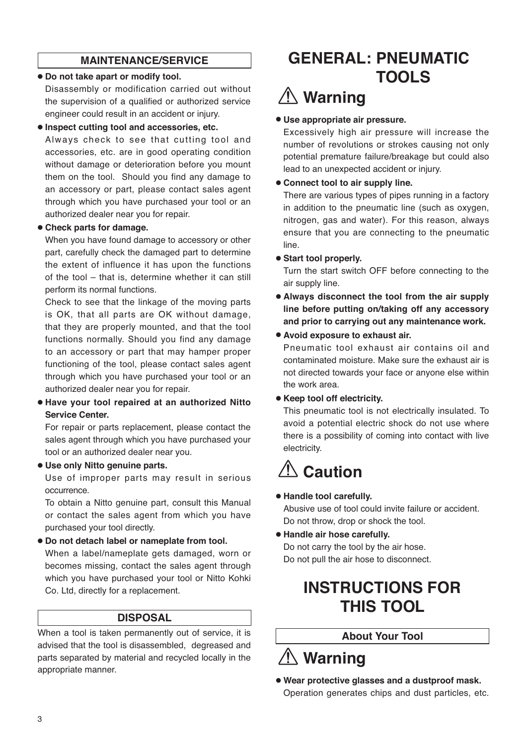#### **MAINTENANCE/SERVICE**

#### ● **Do not take apart or modify tool.**

Disassembly or modification carried out without the supervision of a qualified or authorized service engineer could result in an accident or injury.

#### ● **Inspect cutting tool and accessories, etc.**

Always check to see that cutting tool and accessories, etc. are in good operating condition without damage or deterioration before you mount them on the tool. Should you find any damage to an accessory or part, please contact sales agent through which you have purchased your tool or an authorized dealer near you for repair.

#### ● **Check parts for damage.**

When you have found damage to accessory or other part, carefully check the damaged part to determine the extent of influence it has upon the functions of the tool – that is, determine whether it can still perform its normal functions.

Check to see that the linkage of the moving parts is OK, that all parts are OK without damage, that they are properly mounted, and that the tool functions normally. Should you find any damage to an accessory or part that may hamper proper functioning of the tool, please contact sales agent through which you have purchased your tool or an authorized dealer near you for repair.

#### ● **Have your tool repaired at an authorized Nitto Service Center.**

For repair or parts replacement, please contact the sales agent through which you have purchased your tool or an authorized dealer near you.

#### ● **Use only Nitto genuine parts.**

Use of improper parts may result in serious occurrence.

To obtain a Nitto genuine part, consult this Manual or contact the sales agent from which you have purchased your tool directly.

● **Do not detach label or nameplate from tool.** 

When a label/nameplate gets damaged, worn or becomes missing, contact the sales agent through which you have purchased your tool or Nitto Kohki Co. Ltd, directly for a replacement.

#### **DISPOSAL**

When a tool is taken permanently out of service, it is advised that the tool is disassembled, degreased and parts separated by material and recycled locally in the appropriate manner.

### **GENERAL: PNEUMATIC TOOLS**

# **Warning**

#### ● **Use appropriate air pressure.**

Excessively high air pressure will increase the number of revolutions or strokes causing not only potential premature failure/breakage but could also lead to an unexpected accident or injury.

#### ● **Connect tool to air supply line.**

There are various types of pipes running in a factory in addition to the pneumatic line (such as oxygen, nitrogen, gas and water). For this reason, always ensure that you are connecting to the pneumatic line.

● **Start tool properly.**

Turn the start switch OFF before connecting to the air supply line.

- ● **Always disconnect the tool from the air supply line before putting on/taking off any accessory and prior to carrying out any maintenance work.**
- ● **Avoid exposure to exhaust air.**

Pneumatic tool exhaust air contains oil and contaminated moisture. Make sure the exhaust air is not directed towards your face or anyone else within the work area.

● **Keep tool off electricity.**

This pneumatic tool is not electrically insulated. To avoid a potential electric shock do not use where there is a possibility of coming into contact with live electricity.

# **<u></u> ∴ Caution**

#### ● **Handle tool carefully.**

Abusive use of tool could invite failure or accident. Do not throw, drop or shock the tool.

● **Handle air hose carefully.** Do not carry the tool by the air hose. Do not pull the air hose to disconnect.

### **INSTRUCTIONS FOR THIS TOOL**

#### **About Your Tool**

# **Warning**

● **Wear protective glasses and a dustproof mask.** Operation generates chips and dust particles, etc.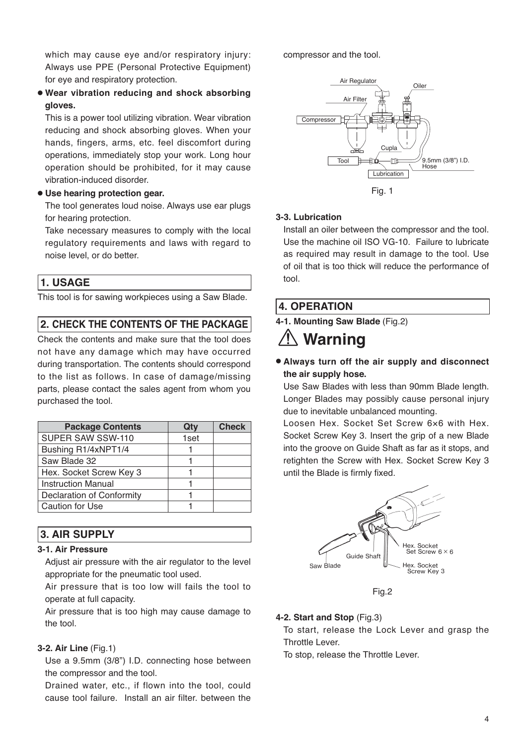which may cause eye and/or respiratory injury: Always use PPE (Personal Protective Equipment) for eye and respiratory protection.

● **Wear vibration reducing and shock absorbing gloves.** 

This is a power tool utilizing vibration. Wear vibration reducing and shock absorbing gloves. When your hands, fingers, arms, etc. feel discomfort during operations, immediately stop your work. Long hour operation should be prohibited, for it may cause vibration-induced disorder.

#### ● **Use hearing protection gear.**

The tool generates loud noise. Always use ear plugs for hearing protection.

Take necessary measures to comply with the local regulatory requirements and laws with regard to noise level, or do better.

#### **1. USAGE**

This tool is for sawing workpieces using a Saw Blade.

#### **2. CHECK THE CONTENTS OF THE PACKAGE**

Check the contents and make sure that the tool does not have any damage which may have occurred during transportation. The contents should correspond to the list as follows. In case of damage/missing parts, please contact the sales agent from whom you purchased the tool.

| <b>Package Contents</b>          | Qty  | <b>Check</b> |
|----------------------------------|------|--------------|
| SUPER SAW SSW-110                | 1set |              |
| Bushing R1/4xNPT1/4              |      |              |
| Saw Blade 32                     |      |              |
| Hex. Socket Screw Key 3          |      |              |
| <b>Instruction Manual</b>        |      |              |
| <b>Declaration of Conformity</b> |      |              |
| <b>Caution for Use</b>           |      |              |

#### **3. AIR SUPPLY**

#### **3-1. Air Pressure**

Adjust air pressure with the air regulator to the level appropriate for the pneumatic tool used.

Air pressure that is too low will fails the tool to operate at full capacity.

Air pressure that is too high may cause damage to the tool.

#### **3-2. Air Line** (Fig.1)

Use a 9.5mm (3/8") I.D. connecting hose between the compressor and the tool.

Drained water, etc., if flown into the tool, could cause tool failure. Install an air filter. between the compressor and the tool.



#### **3-3. Lubrication**

Install an oiler between the compressor and the tool. Use the machine oil ISO VG-10. Failure to lubricate as required may result in damage to the tool. Use of oil that is too thick will reduce the performance of tool.

#### **4. OPERATION**

**4-1. Mounting Saw Blade** (Fig.2)

# **Warning**

● **Always turn off the air supply and disconnect the air supply hose.**

Use Saw Blades with less than 90mm Blade length. Longer Blades may possibly cause personal injury due to inevitable unbalanced mounting.

Loosen Hex. Socket Set Screw 6×6 with Hex. Socket Screw Key 3. Insert the grip of a new Blade into the groove on Guide Shaft as far as it stops, and retighten the Screw with Hex. Socket Screw Key 3 until the Blade is firmly fixed.



Fig.2

#### **4-2. Start and Stop** (Fig.3)

To start, release the Lock Lever and grasp the Throttle Lever.

To stop, release the Throttle Lever.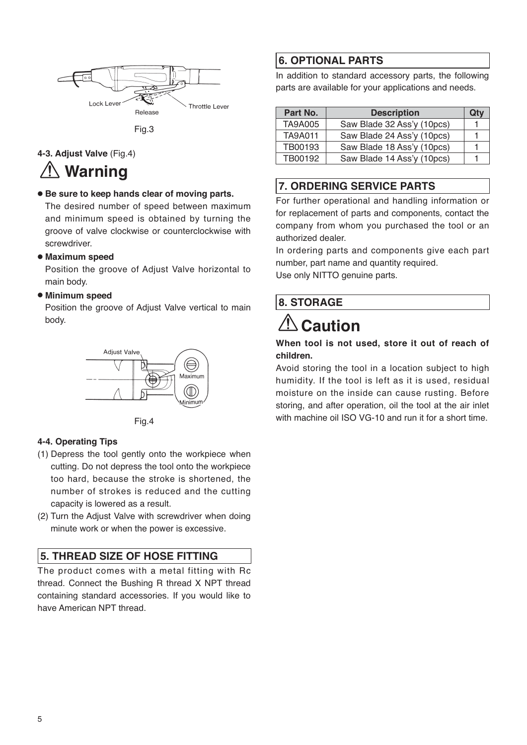

Fig.3

**4-3. Adjust Valve** (Fig.4)

## **Warning**

● **Be sure to keep hands clear of moving parts.**

The desired number of speed between maximum and minimum speed is obtained by turning the groove of valve clockwise or counterclockwise with screwdriver.

#### ● **Maximum speed**

Position the groove of Adjust Valve horizontal to main body.

#### ● **Minimum speed**

Position the groove of Adjust Valve vertical to main body.



Fig.4

#### **4-4. Operating Tips**

- (1) Depress the tool gently onto the workpiece when cutting. Do not depress the tool onto the workpiece too hard, because the stroke is shortened, the number of strokes is reduced and the cutting capacity is lowered as a result.
- (2) Turn the Adjust Valve with screwdriver when doing minute work or when the power is excessive.

#### **5. THREAD SIZE OF HOSE FITTING**

The product comes with a metal fitting with Rc thread. Connect the Bushing R thread X NPT thread containing standard accessories. If you would like to have American NPT thread.

#### **6. OPTIONAL PARTS**

In addition to standard accessory parts, the following parts are available for your applications and needs.

| Part No.       | <b>Description</b>         | Qtv |
|----------------|----------------------------|-----|
| <b>TA9A005</b> | Saw Blade 32 Ass'y (10pcs) |     |
| <b>TA9A011</b> | Saw Blade 24 Ass'y (10pcs) |     |
| TB00193        | Saw Blade 18 Ass'y (10pcs) |     |
| TB00192        | Saw Blade 14 Ass'y (10pcs) |     |

#### **7. ORDERING SERVICE PARTS**

For further operational and handling information or for replacement of parts and components, contact the company from whom you purchased the tool or an authorized dealer.

In ordering parts and components give each part number, part name and quantity required.

Use only NITTO genuine parts.

#### **8. STORAGE**

# **Caution**

#### **When tool is not used, store it out of reach of children.**

Avoid storing the tool in a location subject to high humidity. If the tool is left as it is used, residual moisture on the inside can cause rusting. Before storing, and after operation, oil the tool at the air inlet with machine oil ISO VG-10 and run it for a short time.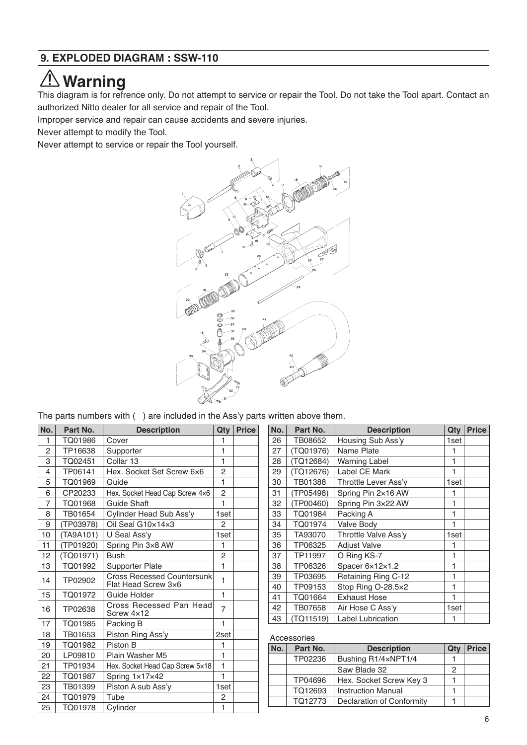#### $\sqrt{1}$ **Warning**

This diagram is for refrence only. Do not attempt to service or repair the Tool. Do not take the Tool apart. Contact an authorized Nitto dealer for all service and repair of the Tool.

Improper service and repair can cause accidents and severe injuries.

Never attempt to modify the Tool.

Never attempt to service or repair the Tool yourself.



The parts numbers with ( ) are included in the Ass'y parts written above them.

| No.            | Part No.  | <b>Description</b>                                       | Qty            | <b>Price</b> |
|----------------|-----------|----------------------------------------------------------|----------------|--------------|
| 1              | TQ01986   | Cover                                                    | 1              |              |
| $\overline{2}$ | TP16638   | Supporter                                                | 1              |              |
| 3              | TQ02451   | Collar 13                                                | 1              |              |
| 4              | TP06141   | Hex. Socket Set Screw 6x6                                | $\overline{2}$ |              |
| 5              | TQ01969   | Guide                                                    | 1              |              |
| 6              | CP20233   | Hex. Socket Head Cap Screw 4x6                           | $\overline{2}$ |              |
| $\overline{7}$ | TQ01968   | <b>Guide Shaft</b>                                       | 1              |              |
| 8              | TB01654   | Cylinder Head Sub Ass'y                                  | 1set           |              |
| 9              | (TP03978) | Oil Seal G10x14x3                                        | 2              |              |
| 10             | (TA9A101) | U Seal Ass'y                                             | 1set           |              |
| 11             | (TP01920) | Spring Pin 3x8 AW                                        | 1              |              |
| 12             | (TQ01971) | <b>Bush</b>                                              | 2              |              |
| 13             | TQ01992   | Supporter Plate                                          | 1              |              |
| 14             | TP02902   | <b>Cross Recessed Countersunk</b><br>Flat Head Screw 3x6 | 1              |              |
| 15             | TQ01972   | Guide Holder                                             | 1              |              |
| 16             | TP02638   | Cross Recessed Pan Head<br>Screw 4x12                    | $\overline{7}$ |              |
| 17             | TQ01985   | Packing B                                                | 1              |              |
| 18             | TB01653   | Piston Ring Ass'y                                        | 2set           |              |
| 19             | TQ01982   | Piston B                                                 | 1              |              |
| 20             | LP09810   | Plain Washer M5                                          | 1              |              |
| 21             | TP01934   | Hex. Socket Head Cap Screw 5x18                          | 1              |              |
| 22             | TQ01987   | Spring 1x17x42                                           | $\mathbf{1}$   |              |
| 23             | TB01399   | Piston A sub Ass'y                                       | 1set           |              |
| 24             | TQ01979   | Tube                                                     | 2              |              |
| 25             | TQ01978   | Cylinder                                                 | $\mathbf{1}$   |              |

| No. | Part No.  | <b>Description</b>       | Qty  | <b>Price</b> |
|-----|-----------|--------------------------|------|--------------|
| 26  | TB08652   | Housing Sub Ass'y        | 1set |              |
| 27  | (TQ01976) | Name Plate               | 1    |              |
| 28  | (TQ12684) | <b>Warning Label</b>     | 1    |              |
| 29  | (TQ12676) | <b>Label CE Mark</b>     | 1    |              |
| 30  | TB01388   | Throttle Lever Ass'y     | 1set |              |
| 31  | (TP05498) | Spring Pin 2×16 AW       | 1    |              |
| 32  | (TP00460) | Spring Pin 3×22 AW       | 1    |              |
| 33  | TQ01984   | Packing A                | 1    |              |
| 34  | TQ01974   | Valve Body               | 1    |              |
| 35  | TA93070   | Throttle Valve Ass'v     | 1set |              |
| 36  | TP06325   | <b>Adjust Valve</b>      | 1    |              |
| 37  | TP11997   | O Ring KS-7              | 1    |              |
| 38  | TP06326   | Spacer 6x12x1.2          | 1    |              |
| 39  | TP03695   | Retaining Ring C-12      | 1    |              |
| 40  | TP09153   | Stop Ring O-28.5×2       | 1    |              |
| 41  | TQ01664   | <b>Exhaust Hose</b>      | 1    |              |
| 42  | TB07658   | Air Hose C Ass'y         | 1set |              |
| 43  | (TQ11519) | <b>Label Lubrication</b> | 1    |              |

#### Accessories

| No. | Part No. | <b>Description</b>        | Qty | Price |
|-----|----------|---------------------------|-----|-------|
|     | TP02236  | Bushing R1/4xNPT1/4       |     |       |
|     |          | Saw Blade 32              | 2   |       |
|     | TP04696  | Hex. Socket Screw Key 3   |     |       |
|     | TQ12693  | <b>Instruction Manual</b> |     |       |
|     | TQ12773  | Declaration of Conformity |     |       |